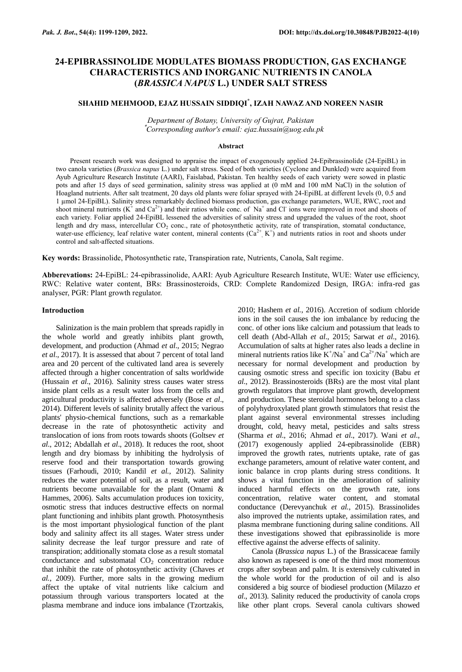# **24-EPIBRASSINOLIDE MODULATES BIOMASS PRODUCTION, GAS EXCHANGE CHARACTERISTICS AND INORGANIC NUTRIENTS IN CANOLA (***BRASSICA NAPUS* **L.) UNDER SALT STRESS**

# **SHAHID MEHMOOD, EJAZ HUSSAIN SIDDIQI\* , IZAH NAWAZ AND NOREEN NASIR**

*Department of Botany, University of Gujrat, Pakistan* \**Corresponding author's email: ejaz.hussain@uog.edu.pk*

#### **Abstract**

Present research work was designed to appraise the impact of exogenously applied 24-Epibrassinolide (24-EpiBL) in two canola varieties (*Brassica napus* L.) under salt stress. Seed of both varieties (Cyclone and Dunkled) were acquired from Ayub Agriculture Research Institute (AARI), Faislabad, Pakistan. Ten healthy seeds of each variety were sowed in plastic pots and after 15 days of seed germination, salinity stress was applied at (0 mM and 100 mM NaCl) in the solution of Hoagland nutrients. After salt treatment, 20 days old plants were foliar sprayed with 24-EpiBL at different levels (0, 0.5 and 1 µmol 24-EpiBL). Salinity stress remarkably declined biomass production, gas exchange parameters, WUE, RWC, root and shoot mineral nutrients  $(K^+$  and  $Ca^{2+})$  and their ratios while conc. of Na<sup>+</sup> and Cl<sup>-</sup> ions were improved in root and shoots of each variety. Foliar applied 24-EpiBL lessened the adversities of salinity stress and upgraded the values of the root, shoot length and dry mass, intercellular CO<sub>2</sub> conc., rate of photosynthetic activity, rate of transpiration, stomatal conductance, water-use efficiency, leaf relative water content, mineral contents  $(Ca^{2+}, K^+)$  and nutrients ratios in root and shoots under control and salt-affected situations.

**Key words:** Brassinolide, Photosynthetic rate, Transpiration rate, Nutrients, Canola, Salt regime.

**Abberevations:** 24-EpiBL: 24-epibrassinolide, AARI: Ayub Agriculture Research Institute, WUE: Water use efficiency, RWC: Relative water content, BRs: Brassinosteroids, CRD: Complete Randomized Design, IRGA: infra-red gas analyser, PGR: Plant growth regulator.

#### **Introduction**

Salinization is the main problem that spreads rapidly in the whole world and greatly inhibits plant growth, development, and production (Ahmad *et al*., 2015; Negrao *et al*., 2017). It is assessed that about 7 percent of total land area and 20 percent of the cultivated land area is severely affected through a higher concentration of salts worldwide (Hussain *et al*., 2016). Salinity stress causes water stress inside plant cells as a result water loss from the cells and agricultural productivity is affected adversely (Bose *et al*., 2014). Different levels of salinity brutally affect the various plants' physio-chemical functions, such as a remarkable decrease in the rate of photosynthetic activity and translocation of ions from roots towards shoots (Goltsev *et al*., 2012; Abdallah *et al*., 2018). It reduces the root, shoot length and dry biomass by inhibiting the hydrolysis of reserve food and their transportation towards growing tissues (Farhoudi, 2010; Kandil *et al.*, 2012). Salinity reduces the water potential of soil, as a result, water and nutrients become unavailable for the plant (Omami & Hammes, 2006). Salts accumulation produces ion toxicity, osmotic stress that induces destructive effects on normal plant functioning and inhibits plant growth. Photosynthesis is the most important physiological function of the plant body and salinity affect its all stages. Water stress under salinity decrease the leaf turgor pressure and rate of transpiration; additionally stomata close as a result stomatal conductance and substomatal  $CO<sub>2</sub>$  concentration reduce that inhibit the rate of photosynthetic activity (Chaves *et al.*, 2009). Further, more salts in the growing medium affect the uptake of vital nutrients like calcium and potassium through various transporters located at the plasma membrane and induce ions imbalance (Tzortzakis,

2010; Hashem *et al.*, 2016). Accretion of sodium chloride ions in the soil causes the ion imbalance by reducing the conc. of other ions like calcium and potassium that leads to cell death (Abd-Allah *et al*., 2015; Sarwat *et al*., 2016). Accumulation of salts at higher rates also leads a decline in mineral nutrients ratios like  $K^+/Na^+$  and  $Ca^{2+}/Na^+$  which are necessary for normal development and production by causing osmotic stress and specific ion toxicity (Babu *et al*., 2012). Brassinosteroids (BRs) are the most vital plant growth regulators that improve plant growth, development and production. These steroidal hormones belong to a class of polyhydroxylated plant growth stimulators that resist the plant against several environmental stresses including drought, cold, heavy metal, pesticides and salts stress (Sharma *et al*., 2016; Ahmad *et al*., 2017). Wani *et al*., (2017) exogenously applied 24-epibrassinolide (EBR) improved the growth rates, nutrients uptake, rate of gas exchange parameters, amount of relative water content, and ionic balance in crop plants during stress conditions. It shows a vital function in the amelioration of salinity induced harmful effects on the growth rate, ions concentration, relative water content, and stomatal conductance (Derevyanchuk *et al.*, 2015). Brassinolides also improved the nutrients uptake, assimilation rates, and plasma membrane functioning during saline conditions. All these investigations showed that epibrassinolide is more effective against the adverse effects of salinity.

Canola (*Brassica napus* L.) of the Brassicaceae family also known as rapeseed is one of the third most momentous crops after soybean and palm. It is extensively cultivated in the whole world for the production of oil and is also considered a big source of biodiesel production (Milazzo *et al*., 2013). Salinity reduced the productivity of canola crops like other plant crops. Several canola cultivars showed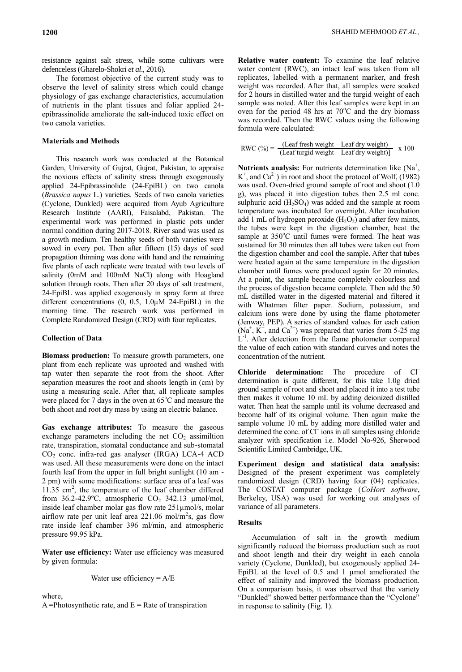resistance against salt stress, while some cultivars were defenceless (Gharelo-Shokri *et al*., 2016).

The foremost objective of the current study was to observe the level of salinity stress which could change physiology of gas exchange characteristics, accumulation of nutrients in the plant tissues and foliar applied 24 epibrassinolide ameliorate the salt-induced toxic effect on two canola varieties.

#### **Materials and Methods**

This research work was conducted at the Botanical Garden, University of Gujrat, Gujrat, Pakistan, to appraise the noxious effects of salinity stress through exogenously applied 24-Epibrassinolide (24-EpiBL) on two canola (*Brassica napus* L.) varieties. Seeds of two canola varieties (Cyclone, Dunkled) were acquired from Ayub Agriculture Research Institute (AARI), Faisalabd, Pakistan. The experimental work was performed in plastic pots under normal condition during 2017-2018. River sand was used as a growth medium. Ten healthy seeds of both varieties were sowed in every pot. Then after fifteen (15) days of seed propagation thinning was done with hand and the remaining five plants of each replicate were treated with two levels of salinity (0mM and 100mM NaCl) along with Hoagland solution through roots. Then after 20 days of salt treatment, 24-EpiBL was applied exogenously in spray form at three different concentrations (0, 0.5, 1.0µM 24-EpiBL) in the morning time. The research work was performed in Complete Randomized Design (CRD) with four replicates.

#### **Collection of Data**

**Biomass production:** To measure growth parameters, one plant from each replicate was uprooted and washed with tap water then separate the root from the shoot. After separation measures the root and shoots length in (cm) by using a measuring scale. After that, all replicate samples were placed for 7 days in the oven at  $65^{\circ}$ C and measure the both shoot and root dry mass by using an electric balance.

**Gas exchange attributes:** To measure the gaseous exchange parameters including the net  $CO<sub>2</sub>$  assimiltion rate, transpiration, stomatal conductance and sub-stomatal  $CO<sub>2</sub>$  conc. infra-red gas analyser (IRGA) LCA-4 ACD was used. All these measurements were done on the intact fourth leaf from the upper in full bright sunlight (10 am - 2 pm) with some modifications: surface area of a leaf was 11.35 cm<sup>2</sup>, the temperature of the leaf chamber differed from 36.2-42.9°C, atmospheric  $CO<sub>2</sub>$  342.13 µmol/mol, inside leaf chamber molar gas flow rate 251µmol/s, molar airflow rate per unit leaf area 221.06 mol/m<sup>2</sup>s, gas flow rate inside leaf chamber 396 ml/min, and atmospheric pressure 99.95 kPa.

**Water use efficiency:** Water use efficiency was measured by given formula:

Water use efficiency = 
$$
A/E
$$

where, A =Photosynthetic rate, and  $E =$ Rate of transpiration

**Relative water content:** To examine the leaf relative water content (RWC), an intact leaf was taken from all replicates, labelled with a permanent marker, and fresh weight was recorded. After that, all samples were soaked for 2 hours in distilled water and the turgid weight of each sample was noted. After this leaf samples were kept in an oven for the period 48 hrs at  $70^{\circ}$ C and the dry biomass was recorded. Then the RWC values using the following formula were calculated:

$$
RWC (%) = \frac{(Leaf fresh weight - Leaf dry weight)}{(Leaf target weight - Leaf dry weight)} \times 100
$$

Nutrients analysis: For nutrients determination like (Na<sup>+</sup>,  $K^+$ , and  $Ca^{2+}$ ) in root and shoot the protocol of Wolf, (1982) was used. Oven-dried ground sample of root and shoot (1.0 g), was placed it into digestion tubes then 2.5 ml conc. sulphuric acid  $(H_2SO_4)$  was added and the sample at room temperature was incubated for overnight. After incubation add 1 mL of hydrogen peroxide  $(H_2O_2)$  and after few mints, the tubes were kept in the digestion chamber, heat the sample at  $350^{\circ}$ C until fumes were formed. The heat was sustained for 30 minutes then all tubes were taken out from the digestion chamber and cool the sample. After that tubes were heated again at the same temperature in the digestion chamber until fumes were produced again for 20 minutes. At a point, the sample became completely colourless and the process of digestion became complete. Then add the 50 mL distilled water in the digested material and filtered it with Whatman filter paper. Sodium, potassium, and calcium ions were done by using the flame photometer (Jenway, PEP). A series of standard values for each cation  $(Na^+, K^+,$  and  $Ca^{2+})$  was prepared that varies from 5-25 mg  $L^{-1}$ . After detection from the flame photometer compared the value of each cation with standard curves and notes the concentration of the nutrient.

**Chloride determination:** The procedure of Cl– determination is quite different, for this take 1.0g dried ground sample of root and shoot and placed it into a test tube then makes it volume 10 mL by adding deionized distilled water. Then heat the sample until its volume decreased and become half of its original volume. Then again make the sample volume 10 mL by adding more distilled water and determined the conc. of Cl<sup>-</sup>ions in all samples using chloride analyzer with specification i.e. Model No-926, Sherwood Scientific Limited Cambridge, UK.

**Experiment design and statistical data analysis:**  Designed of the present experiment was completely randomized design (CRD) having four (04) replicates. The COSTAT computer package (*CoHort software*, Berkeley, USA) was used for working out analyses of variance of all parameters.

### **Results**

Accumulation of salt in the growth medium significantly reduced the biomass production such as root and shoot length and their dry weight in each canola variety (Cyclone, Dunkled), but exogenously applied 24- EpiBL at the level of 0.5 and 1 µmol ameliorated the effect of salinity and improved the biomass production. On a comparison basis, it was observed that the variety "Dunkled" showed better performance than the "Cyclone" in response to salinity (Fig. 1).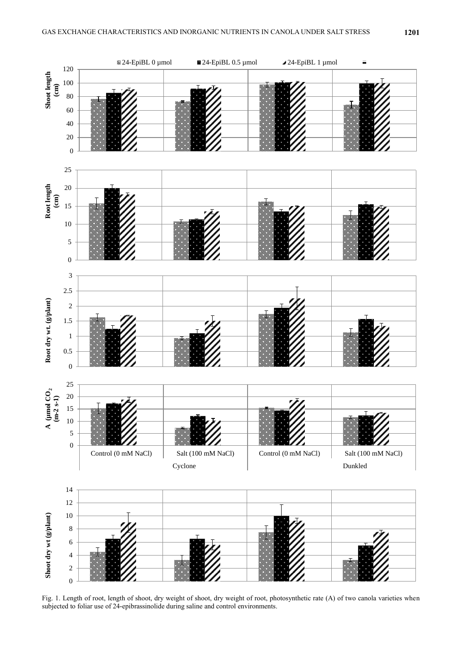

Fig. 1. Length of root, length of shoot, dry weight of shoot, dry weight of root, photosynthetic rate (A) of two canola varieties when subjected to foliar use of 24-epibrassinolide during saline and control environments.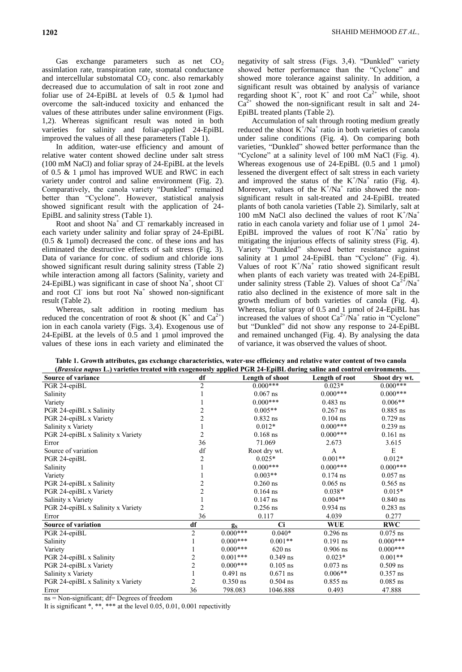Gas exchange parameters such as net  $CO<sub>2</sub>$ assimlation rate, transpiration rate, stomatal conductance and intercellular substomatal  $CO<sub>2</sub>$  conc. also remarkably decreased due to accumulation of salt in root zone and foliar use of 24-EpiBL at levels of 0.5 & 1µmol had overcome the salt-induced toxicity and enhanced the values of these attributes under saline environment (Figs. 1,2). Whereas significant result was noted in both varieties for salinity and foliar-applied 24-EpiBL improved the values of all these parameters (Table 1).

In addition, water-use efficiency and amount of relative water content showed decline under salt stress (100 mM NaCl) and foliar spray of 24-EpiBL at the levels of 0.5 & 1 µmol has improved WUE and RWC in each variety under control and saline environment (Fig. 2). Comparatively, the canola variety "Dunkled" remained better than "Cyclone". However, statistical analysis showed significant result with the application of 24- EpiBL and salinity stress (Table 1).

Root and shoot  $Na<sup>+</sup>$  and Cl<sup>-</sup> remarkably increased in each variety under salinity and foliar spray of 24-EpiBL (0.5 & 1µmol) decreased the conc. of these ions and has eliminated the destructive effects of salt stress (Fig. 3). Data of variance for conc. of sodium and chloride ions showed significant result during salinity stress (Table 2) while interaction among all factors (Salinity, variety and 24-EpiBL) was significant in case of shoot  $Na^+$ , shoot Cl and root  $CI$  ions but root  $Na<sup>+</sup>$  showed non-significant result (Table 2).

Whereas, salt addition in rooting medium has reduced the concentration of root & shoot  $(K^+$  and  $Ca^{2+}$ ) ion in each canola variety (Figs. 3,4). Exogenous use of 24-EpiBL at the levels of 0.5 and 1 µmol improved the values of these ions in each variety and eliminated the

negativity of salt stress (Figs. 3,4). "Dunkled" variety showed better performance than the "Cyclone" and showed more tolerance against salinity. In addition, a significant result was obtained by analysis of variance regarding shoot  $K^+$ , root  $K^+$  and root  $Ca^{2+}$  while, shoot  $Ca<sup>2+</sup>$  showed the non-significant result in salt and 24-EpiBL treated plants (Table 2).

Accumulation of salt through rooting medium greatly reduced the shoot  $K^+/Na^+$  ratio in both varieties of canola under saline conditions (Fig. 4). On comparing both varieties, "Dunkled" showed better performance than the "Cyclone" at a salinity level of 100 mM NaCl (Fig. 4). Whereas exogenous use of  $24$ -EpiBL (0.5 and 1 µmol) lessened the divergent effect of salt stress in each variety and improved the status of the  $K^+/Na^+$  ratio (Fig. 4). Moreover, values of the  $K^{\dagger}/Na^{\dagger}$  ratio showed the nonsignificant result in salt-treated and 24-EpiBL treated plants of both canola varieties (Table 2). Similarly, salt at 100 mM NaCl also declined the values of root  $K^+/Na^+$ ratio in each canola variety and foliar use of 1 µmol 24-EpiBL improved the values of root  $K^+/Na^+$  ratio by mitigating the injurious effects of salinity stress (Fig. 4). Variety "Dunkled" showed better resistance against salinity at 1 µmol 24-EpiBL than "Cyclone" (Fig. 4). Values of root  $K^+/Na^+$  ratio showed significant result when plants of each variety was treated with 24-EpiBL under salinity stress (Table 2). Values of shoot  $Ca^{2+}/Na^{+}$ ratio also declined in the existence of more salt in the growth medium of both varieties of canola (Fig. 4). Whereas, foliar spray of 0.5 and 1 µmol of 24-EpiBL has increased the values of shoot  $Ca^{2+}/Na^{+}$  ratio in "Cyclone" but "Dunkled" did not show any response to 24-EpiBL and remained unchanged (Fig. 4). By analysing the data of variance, it was observed the values of shoot.

**Table 1. Growth attributes, gas exchange characteristics, water-use efficiency and relative water content of two canola (***Brassica napus* **L.) varieties treated with exogenously applied PGR 24-EpiBL during saline and control environments.**

| ( <i>Drussica napus L</i> .) varicites treated with exogenously applied I Giv 24-EpiDE during sanne and control chvironments. |                |                 |            |                |               |  |  |  |  |  |
|-------------------------------------------------------------------------------------------------------------------------------|----------------|-----------------|------------|----------------|---------------|--|--|--|--|--|
| <b>Source of variance</b>                                                                                                     | df             | Length of shoot |            | Length of root | Shoot dry wt. |  |  |  |  |  |
| PGR 24-epiBL                                                                                                                  | $\overline{2}$ | $0.000**$       |            | $0.023*$       | $0.000***$    |  |  |  |  |  |
| Salinity                                                                                                                      |                | $0.067$ ns      |            | $0.000***$     | $0.000***$    |  |  |  |  |  |
| Variety                                                                                                                       |                | $0.000***$      |            | $0.483$ ns     | $0.006**$     |  |  |  |  |  |
| PGR 24-epiBL x Salinity                                                                                                       |                | $0.005**$       |            | $0.267$ ns     | $0.885$ ns    |  |  |  |  |  |
| PGR 24-epiBL x Variety                                                                                                        |                | $0.832$ ns      |            | $0.104$ ns     | $0.729$ ns    |  |  |  |  |  |
| Salinity x Variety                                                                                                            |                | $0.012*$        |            | $0.000***$     | $0.239$ ns    |  |  |  |  |  |
| PGR 24-epiBL x Salinity x Variety                                                                                             | 2              | $0.168$ ns      |            | $0.000***$     | $0.161$ ns    |  |  |  |  |  |
| Error                                                                                                                         | 36             | 71.069          |            | 2.673          | 3.615         |  |  |  |  |  |
| Source of variation                                                                                                           | df             | Root dry wt.    |            | A              | E             |  |  |  |  |  |
| PGR 24-epiBL                                                                                                                  | 2              | $0.025*$        |            | $0.001**$      | $0.012*$      |  |  |  |  |  |
| Salinity                                                                                                                      |                | $0.000***$      |            | $0.000***$     | $0.000***$    |  |  |  |  |  |
| Variety                                                                                                                       |                | $0.003**$       |            | $0.174$ ns     | $0.057$ ns    |  |  |  |  |  |
| PGR 24-epiBL x Salinity                                                                                                       |                |                 | $0.260$ ns | $0.065$ ns     | $0.565$ ns    |  |  |  |  |  |
| PGR 24-epiBL x Variety                                                                                                        |                | $0.164$ ns      |            | $0.038*$       | $0.015*$      |  |  |  |  |  |
| Salinity x Variety                                                                                                            |                | $0.147$ ns      |            | $0.004**$      | $0.840$ ns    |  |  |  |  |  |
| PGR 24-epiBL x Salinity x Variety                                                                                             |                | $0.256$ ns      |            | $0.934$ ns     | $0.283$ ns    |  |  |  |  |  |
| Error                                                                                                                         | 36             | 0.117           |            | 4.039          | 0.277         |  |  |  |  |  |
| Source of variation                                                                                                           | df             | $g_S$           | <b>Ci</b>  | <b>WUE</b>     | <b>RWC</b>    |  |  |  |  |  |
| PGR 24-epiBL                                                                                                                  | $\overline{c}$ | $0.000***$      | $0.040*$   | $0.296$ ns     | $0.075$ ns    |  |  |  |  |  |
| Salinity                                                                                                                      |                | $0.000***$      | $0.001**$  | $0.191$ ns     | $0.000***$    |  |  |  |  |  |
| Variety                                                                                                                       |                | $0.000***$      | $620$ ns   | $0.906$ ns     | $0.000***$    |  |  |  |  |  |
| PGR 24-epiBL x Salinity                                                                                                       | 2              | $0.001***$      | $0.349$ ns | $0.023*$       | $0.001**$     |  |  |  |  |  |
| PGR 24-epiBL x Variety                                                                                                        | 2              | $0.000***$      | $0.105$ ns | $0.073$ ns     | $0.509$ ns    |  |  |  |  |  |
| Salinity x Variety                                                                                                            |                | $0.491$ ns      | $0.671$ ns | $0.006**$      | $0.357$ ns    |  |  |  |  |  |
| PGR 24-epiBL x Salinity x Variety                                                                                             | 2              | $0.350$ ns      | $0.504$ ns | $0.855$ ns     | $0.085$ ns    |  |  |  |  |  |
| Error                                                                                                                         | 36             | 798.083         | 1046.888   | 0.493          | 47.888        |  |  |  |  |  |

ns = Non-significant; df= Degrees of freedom

It is significant \*, \*\*, \*\*\* at the level 0.05, 0.01, 0.001 repectivitly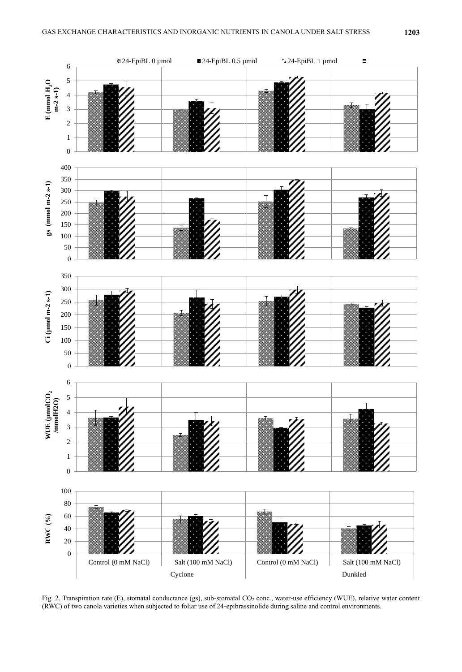

Fig. 2. Transpiration rate (E), stomatal conductance (gs), sub-stomatal CO<sub>2</sub> conc., water-use efficiency (WUE), relative water content (RWC) of two canola varieties when subjected to foliar use of 24-epibrassinolide during saline and control environments.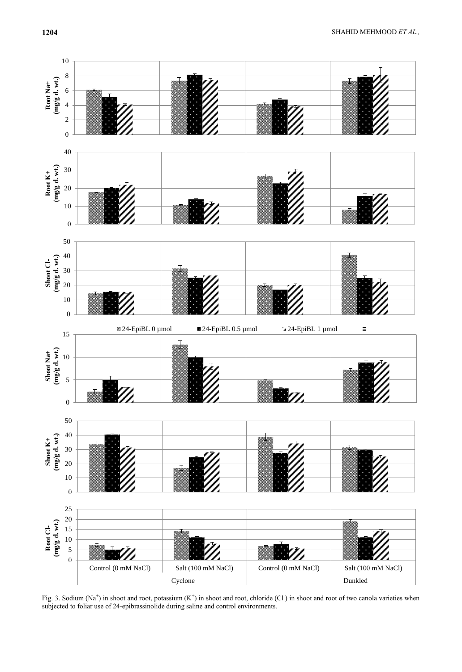

Fig. 3. Sodium (Na<sup>+</sup>) in shoot and root, potassium (K<sup>+</sup>) in shoot and root, chloride (Cl<sup>-</sup>) in shoot and root of two canola varieties when subjected to foliar use of 24-epibrassinolide during saline and control environments.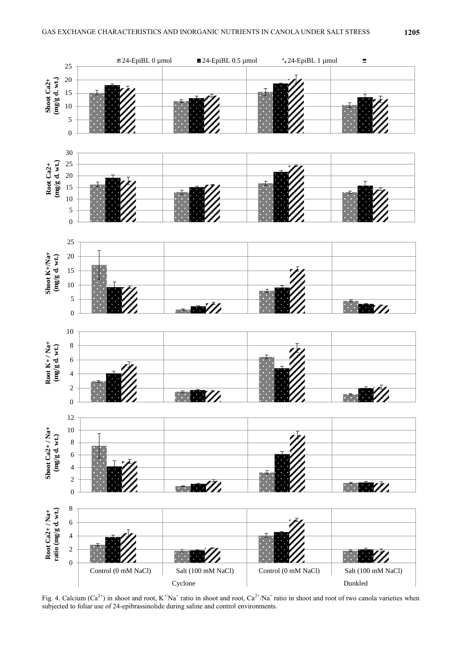

Fig. 4. Calcium (Ca<sup>2+</sup>) in shoot and root,  $K^{\pm}Na^+$  ratio in shoot and root, Ca<sup>2+</sup>/Na<sup>+</sup> ratio in shoot and root of two canola varieties when subjected to foliar use of 24-epibrassinolide during saline and control environments.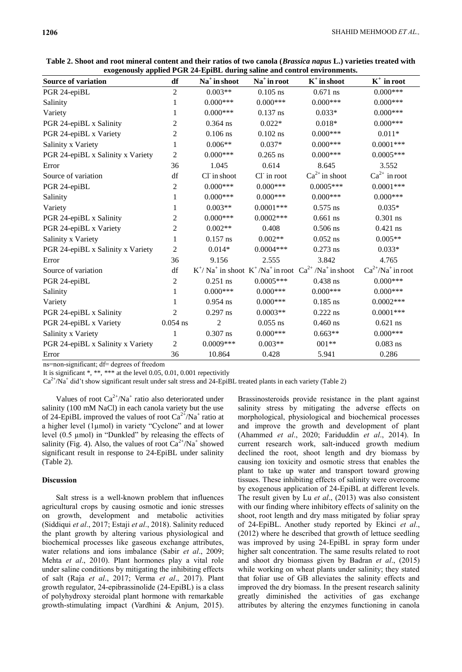| Source of variation               | df             | Na <sup>+</sup> in shoot | Na <sup>+</sup> in root | $K^+$ in shoot                                                                                         | $K^+$ in root            |
|-----------------------------------|----------------|--------------------------|-------------------------|--------------------------------------------------------------------------------------------------------|--------------------------|
| PGR 24-epiBL                      | $\overline{2}$ | $0.003**$                | $0.105$ ns              | $0.671$ ns                                                                                             | $0.000***$               |
| Salinity                          | 1              | $0.000***$               | $0.000***$              | $0.000***$                                                                                             | $0.000***$               |
| Variety                           | 1              | $0.000***$               | $0.137$ ns              | $0.033*$                                                                                               | $0.000***$               |
| PGR 24-epiBL x Salinity           | 2              | $0.364$ ns               | $0.022*$                | $0.018*$                                                                                               | $0.000***$               |
| PGR 24-epiBL x Variety            | $\overline{c}$ | $0.106$ ns               | $0.102$ ns              | $0.000***$                                                                                             | $0.011*$                 |
| Salinity x Variety                | 1              | $0.006**$                | $0.037*$                | $0.000***$                                                                                             | $0.0001***$              |
| PGR 24-epiBL x Salinity x Variety | $\mathfrak{2}$ | $0.000***$               | $0.265$ ns              | $0.000***$                                                                                             | $0.0005***$              |
| Error                             | 36             | 1.045                    | 0.614                   | 8.645                                                                                                  | 3.552                    |
| Source of variation               | df             | Cl <sup>-</sup> in shoot | Cl in root              | $Ca^{2+}$ in shoot                                                                                     | $Ca^{2+}$ in root        |
| PGR 24-epiBL                      | 2              | $0.000***$               | $0.000***$              | $0.0005***$                                                                                            | $0.0001***$              |
| Salinity                          | 1              | $0.000***$               | $0.000***$              | $0.000***$                                                                                             | $0.000***$               |
| Variety                           | 1              | $0.003**$                | $0.0001***$             | $0.575$ ns                                                                                             | $0.035*$                 |
| PGR 24-epiBL x Salinity           | $\overline{c}$ | $0.000***$               | $0.0002***$             | $0.661$ ns                                                                                             | $0.301$ ns               |
| PGR 24-epiBL x Variety            | $\mathfrak{2}$ | $0.002**$                | 0.408                   | $0.506$ ns                                                                                             | $0.421$ ns               |
| Salinity x Variety                | 1              | $0.157$ ns               | $0.002**$               | $0.052$ ns                                                                                             | $0.005**$                |
| PGR 24-epiBL x Salinity x Variety | $\mathfrak{2}$ | $0.014*$                 | $0.0004***$             | $0.273$ ns                                                                                             | $0.033*$                 |
| Error                             | 36             | 9.156                    | 2.555                   | 3.842                                                                                                  | 4.765                    |
| Source of variation               | df             |                          |                         | $K^{\dagger}/Na^{\dagger}$ in shoot $K^{\dagger}/Na^{\dagger}$ in root $Ca^{2+}/Na^{\dagger}$ in shoot | $Ca^{2+}/Na^{+}$ in root |
| PGR 24-epiBL                      | $\overline{c}$ | $0.251$ ns               | $0.0005***$             | $0.438$ ns                                                                                             | $0.000***$               |
| Salinity                          | 1              | $0.000***$               | $0.000***$              | $0.000***$                                                                                             | $0.000***$               |
| Variety                           | 1              | $0.954$ ns               | $0.000***$              | $0.185$ ns                                                                                             | $0.0002***$              |
| PGR 24-epiBL x Salinity           | $\overline{c}$ | $0.297$ ns               | $0.0003**$              | $0.222$ ns                                                                                             | $0.0001***$              |
| PGR 24-epiBL x Variety            | $0.054$ ns     | $\overline{2}$           | $0.055$ ns              | $0.460$ ns                                                                                             | $0.621$ ns               |
| Salinity x Variety                | 1              | $0.307$ ns               | $0.000***$              | $0.663**$                                                                                              | $0.000***$               |
| PGR 24-epiBL x Salinity x Variety | 2              | $0.0009***$              | $0.003**$               | $001**$                                                                                                | $0.083$ ns               |
| Error                             | 36             | 10.864                   | 0.428                   | 5.941                                                                                                  | 0.286                    |

**Table 2. Shoot and root mineral content and their ratios of two canola (***Brassica napus* **L.) varieties treated with exogenously applied PGR 24-EpiBL during saline and control environments.**

ns=non-significant; df= degrees of freedom

It is significant \*, \*\*, \*\*\* at the level 0.05, 0.01, 0.001 repectivitly

 $Ca<sup>2+</sup>/Na<sup>+</sup>$  did't show significant result under salt stress and 24-EpiBL treated plants in each variety (Table 2)

Values of root  $Ca^{2+}/Na^{+}$  ratio also deteriorated under salinity (100 mM NaCl) in each canola variety but the use of 24-EpiBL improved the values of root  $Ca^{2+}/Na^{+}$  ratio at a higher level (1µmol) in variety "Cyclone" and at lower level (0.5 µmol) in "Dunkled" by releasing the effects of salinity (Fig. 4). Also, the values of root  $Ca^{2+}/Na^{+}$  showed significant result in response to 24-EpiBL under salinity (Table 2).

# **Discussion**

Salt stress is a well-known problem that influences agricultural crops by causing osmotic and ionic stresses on growth, development and metabolic activities (Siddiqui *et al*., 2017; Estaji *et al*., 2018). Salinity reduced the plant growth by altering various physiological and biochemical processes like gaseous exchange attributes, water relations and ions imbalance (Sabir *et al*., 2009; Mehta *et al*., 2010). Plant hormones play a vital role under saline conditions by mitigating the inhibiting effects of salt (Raja *et al*., 2017; Verma *et al*., 2017). Plant growth regulator, 24-epibrassinolide (24-EpiBL) is a class of polyhydroxy steroidal plant hormone with remarkable growth-stimulating impact (Vardhini & Anjum, 2015).

Brassinosteroids provide resistance in the plant against salinity stress by mitigating the adverse effects on morphological, physiological and biochemical processes and improve the growth and development of plant [\(Ahammed](https://link.springer.com/article/10.1007/s00344-020-10098-0#auth-Golam_Jalal-Ahammed) *et al*., 2020; Fariduddin *et al*., 2014). In current research work, salt-induced growth medium declined the root, shoot length and dry biomass by causing ion toxicity and osmotic stress that enables the plant to take up water and transport toward growing tissues. These inhibiting effects of salinity were overcome by exogenous application of 24-EpiBL at different levels. The result given by Lu *et al*., (2013) was also consistent with our finding where inhibitory effects of salinity on the shoot, root length and dry mass mitigated by foliar spray of 24-EpiBL. Another study reported by Ekinci *et al*., (2012) where he described that growth of lettuce seedling was improved by using 24-EpiBL in spray form under higher salt concentration. The same results related to root and shoot dry biomass given by Badran *et al*., (2015) while working on wheat plants under salinity; they stated that foliar use of GB alleviates the salinity effects and improved the dry biomass. In the present research salinity greatly diminished the activities of gas exchange attributes by altering the enzymes functioning in canola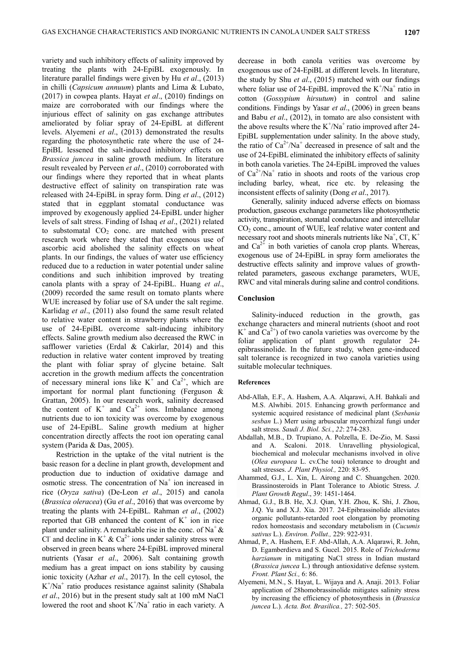variety and such inhibitory effects of salinity improved by treating the plants with 24-EpiBL exogenously. In literature parallel findings were given by Hu *et al*., (2013) in chilli (*Capsicum annuum*) plants and Lima & Lubato, (2017) in cowpea plants. Hayat *et al*., (2010) findings on maize are corroborated with our findings where the injurious effect of salinity on gas exchange attributes ameliorated by foliar spray of 24-EpiBL at different levels. Alyemeni *et al*., (2013) demonstrated the results regarding the photosynthetic rate where the use of 24- EpiBL lessened the salt-induced inhibitory effects on *Brassica juncea* in saline growth medium. In literature result revealed by Perveen *et al*., (2010) corroborated with our findings where they reported that in wheat plants destructive effect of salinity on transpiration rate was released with 24-EpiBL in spray form. Ding *et al*., (2012) stated that in eggplant stomatal conductance was improved by exogenously applied 24-EpiBL under higher levels of salt stress. Finding of Ishaq *et al*., (2021) related to substomatal  $CO<sub>2</sub>$  conc. are matched with present research work where they stated that exogenous use of ascorbic acid abolished the salinity effects on wheat plants. In our findings, the values of water use efficiency reduced due to a reduction in water potential under saline conditions and such inhibition improved by treating canola plants with a spray of 24-EpiBL. Huang *et al*., (2009) recorded the same result on tomato plants where WUE increased by foliar use of SA under the salt regime. Karlidag *et al*., (2011) also found the same result related to relative water content in strawberry plants where the use of 24-EpiBL overcome salt-inducing inhibitory effects. Saline growth medium also decreased the RWC in safflower varieties (Erdal & Cakirlar, 2014) and this reduction in relative water content improved by treating the plant with foliar spray of glycine betaine. Salt accretion in the growth medium affects the concentration of necessary mineral ions like  $K^+$  and  $Ca^{2+}$ , which are important for normal plant functioning (Ferguson & Grattan, 2005). In our research work, salinity decreased the content of  $K^+$  and  $Ca^{2+}$  ions. Imbalance among nutrients due to ion toxicity was overcome by exogenous use of 24-EpiBL. Saline growth medium at higher concentration directly affects the root ion operating canal system (Parida & Das, 2005).

Restriction in the uptake of the vital nutrient is the basic reason for a decline in plant growth, development and production due to induction of oxidative damage and osmotic stress. The concentration of  $Na<sup>+</sup>$  ion increased in rice (*Oryza sativa*) (De-Leon *et al*., 2015) and canola (*Brassica oleracea*) (Gu *et al*., 2016) that was overcome by treating the plants with 24-EpiBL. Rahman *et al*., (2002) reported that GB enhanced the content of  $K^+$  ion in rice plant under salinity. A remarkable rise in the conc. of Na<sup>+</sup>  $\&$ Cl and decline in  $K^+ \& C a^{2+}$  ions under salinity stress were observed in green beans where 24-EpiBL improved mineral nutrients (Yasar *et al*., 2006). Salt containing growth medium has a great impact on ions stability by causing ionic toxicity (Azhar *et al*., 2017). In the cell cytosol, the K<sup>+</sup>/Na<sup>+</sup> ratio produces resistance against salinity (Shabala *et al*., 2016) but in the present study salt at 100 mM NaCl lowered the root and shoot  $K^{+}/Na^{+}$  ratio in each variety. A

decrease in both canola verities was overcome by exogenous use of 24-EpiBL at different levels. In literature, the study by Shu *et al*., (2015) matched with our findings where foliar use of 24-EpiBL improved the  $K^{\dagger}/Na^{\dagger}$  ratio in cotton (*Gossypium hirsutum*) in control and saline conditions. Findings by Yasar *et al*., (2006) in green beans and Babu *et al*., (2012), in tomato are also consistent with the above results where the  $K^{\dagger}/Na^{\dagger}$  ratio improved after 24-EpiBL supplementation under salinity. In the above study, the ratio of  $Ca^{2+}/Na^{+}$  decreased in presence of salt and the use of 24-EpiBL eliminated the inhibitory effects of salinity in both canola varieties. The 24-EpiBL improved the values of  $Ca^{2+}/Na^{+}$  ratio in shoots and roots of the various crop including barley, wheat, rice etc. by releasing the inconsistent effects of salinity (Dong *et al*., 2017).

Generally, salinity induced adverse effects on biomass production, gaseous exchange parameters like photosynthetic activity, transpiration, stomatal conductance and intercellular  $CO<sub>2</sub>$  conc., amount of WUE, leaf relative water content and necessary root and shoots minerals nutrients like Na<sup>+</sup>, Cl<sup>-</sup>, K<sup>+</sup> and  $Ca^{2+}$  in both varieties of canola crop plants. Whereas, exogenous use of 24-EpiBL in spray form ameliorates the destructive effects salinity and improve values of growthrelated parameters, gaseous exchange parameters, WUE, RWC and vital minerals during saline and control conditions.

## **Conclusion**

Salinity-induced reduction in the growth, gas exchange characters and mineral nutrients (shoot and root  $K^+$  and  $Ca^{2+}$ ) of two canola varieties was overcome by the foliar application of plant growth regulator 24 epibrassinolide. In the future study, when gene-induced salt tolerance is recognized in two canola varieties using suitable molecular techniques.

#### **References**

- Abd-Allah, E.F., A. Hashem, A.A. Alqarawi, A.H. Bahkali and M.S. Alwhibi. 2015. Enhancing growth performance and systemic acquired resistance of medicinal plant (*Sesbania sesban* L.) Merr using arbuscular mycorrhizal fungi under salt stress. *Saudi J. Biol. Sci.*, *22*: 274-283.
- Abdallah, M.B., D. Trupiano, A. Polzella, E. De-Zio, M. Sassi and A. Scaloni. 2018. Unravelling physiological, biochemical and molecular mechanisms involved in olive (*Olea europaea* L. cv.Che toui) tolerance to drought and salt stresses. *J. Plant Physiol.,* 220: 83-95.
- [Ahammed,](https://link.springer.com/article/10.1007/s00344-020-10098-0#auth-Golam_Jalal-Ahammed) G.J., L. Xin, L. [Airong a](https://link.springer.com/article/10.1007/s00344-020-10098-0#auth-Airong-Liu)nd C. [Shuangchen. 2](https://link.springer.com/article/10.1007/s00344-020-10098-0#auth-Shuangchen-Chen)020. Brassinosteroids in Plant Tolerance to Abiotic Stress. *[J.](https://link.springer.com/journal/344)  [Plant Growth Regul](https://link.springer.com/journal/344)*., 39: 1451-1464.
- Ahmad, G.J., B.B. He, X.J. Qian, Y.H. Zhou, K. Shi, J. Zhou, J.Q. Yu and X.J. Xia. 2017. 24-Epibrassinolide alleviates organic pollutants-retarded root elongation by promoting redox homeostasis and secondary metabolism in (*Cucumis sativus* L.). *Environ. Pollut.,* 229: 922-931.
- Ahmad, P., A. Hashem, E.F. Abd-Allah, A.A. Alqarawi, R. John, D. Egamberdieva and S. Gucel. 2015. Role of *Trichoderma harzianum* in mitigating NaCl stress in Indian mustard (*Brassica juncea* L.) through antioxidative defense system. *Front. Plant Sci.,* 6: 86.
- Alyemeni, M.N., S. Hayat, L. Wijaya and A. Anaji. 2013. Foliar application of 28homobrassinolide mitigates salinity stress by increasing the efficiency of photosynthesis in (*Brassica juncea* L.). *Acta. Bot. Brasilica.,* 27: 502-505.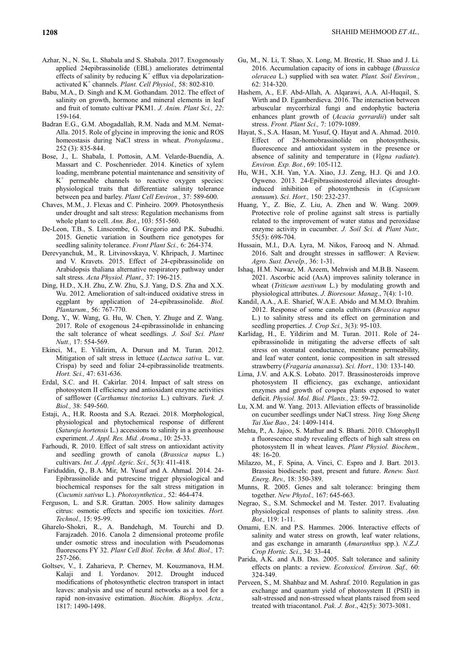- Azhar, N., N. Su, L. Shabala and S. Shabala. 2017. Exogenously applied 24epibrassinolide (EBL) ameliorates detrimental effects of salinity by reducing  $K^+$  efflux via depolarizationactivated K<sup>+</sup> channels. *Plant. Cell Physiol.,* 58: 802-810.
- Babu, M.A., D. Singh and K.M. Gothandam. 2012. The effect of salinity on growth, hormone and mineral elements in leaf and fruit of tomato cultivar PKM1. *J. Anim. Plant Sci., 22*: 159-164.
- Badran E.G., G.M. Abogadallah, R.M. Nada and M.M. Nemat-Alla. 2015. Role of glycine in improving the ionic and ROS homeostasis during NaCl stress in wheat. *Protoplasma.,*  252 (3): 835-844.
- Bose, J., L. Shabala, I. Pottosin, A.M. Velarde-Buendía, A. Massart and C. Poschenrieder. 2014. Kinetics of xylem loading, membrane potential maintenance and sensitivity of K + permeable channels to reactive oxygen species: physiological traits that differentiate salinity tolerance between pea and barley. *Plant Cell Environ.,* 37: 589-600.
- Chaves, M.M., J. Flexas and C. Pinheiro. 2009. Photosynthesis under drought and salt stress: Regulation mechanisms from whole plant to cell. *Ann. Bot.*, 103: 551-560.
- De-Leon, T.B., S. Linscombe, G. Gregorio and P.K. Subudhi. 2015. Genetic variation in Southern rice genotypes for seedling salinity tolerance. *Front Plant Sci.,* 6: 264-374.
- Derevyanchuk, M., R. Litvinovskaya, V. Khripach, J. Martinec and V. Kravets. 2015. Effect of 24-epibrassinolide on Arabidopsis thaliana alternative respiratory pathway under salt stress. *Acta Physiol. Plant.,* 37: 196-215.
- Ding, H.D., X.H. Zhu, Z.W. Zhu, S.J. Yang, D.S. Zha and X.X. Wu. 2012. Amelioration of salt-induced oxidative stress in eggplant by application of 24-epibrassinolide. *Biol. Plantarum.,* 56: 767-770.
- Dong, Y., W. Wang, G. Hu, W. Chen, Y. Zhuge and Z. Wang. 2017. Role of exogenous 24-epibrassinolide in enhancing the salt tolerance of wheat seedlings. *J. Soil Sci. Plant Nutt.,* 17: 554-569.
- Ekinci, M., E. Yildirim, A. Dursun and M. Turan. 2012. Mitigation of salt stress in lettuce (*Lactuca sativa* L. var. Crispa) by seed and foliar 24-epibrassinolide treatments. *Hort. Sci.,* 47: 631-636.
- Erdal, S.C. and H. Cakirlar. 2014. Impact of salt stress on photosystem II efficiency and antioxidant enzyme activities of safflower (*Carthamus tinctorius* L.) cultivars. *Turk. J. Biol.,* 38: 549-560.
- Estaji, A., H.R. Roosta and S.A. Rezaei. 2018. Morphological, physiological and phytochemical response of different (*Satureja hortensis* L.) accessions to salinity in a greenhouse experiment. *J. Appl. Res. Mid. Aroma.*, 10: 25-33.
- Farhoudi, R. 2010. Effect of salt stress on antioxidant activity and seedling growth of canola (*Brassica napus* L.) cultivars. *Int. J. Appl. Agric. Sci.,* 5(3): 411-418.
- Fariduddin, Q., B.A. Mir, M. Yusuf and A. Ahmad. 2014. 24- Epibrassinolide and putrescine trigger physiological and biochemical responses for the salt stress mitigation in (*Cucumis sativus* L.). *Photosynthetica.,* 52: 464-474.
- Ferguson, L. and S.R. Grattan. 2005. How salinity damages citrus: osmotic effects and specific ion toxicities. *Hort. Technol.,* 15: 95-99.
- Gharelo-Shokri, R., A. Bandehagh, M. Tourchi and D. Farajzadeh. 2016. Canola 2 dimensional proteome profile under osmotic stress and inoculation with Pseudomonas fluorescens FY 32. *Plant Cell Biol. Techn. & Mol. Biol.,* 17: 257-266.
- Goltsev, V., I. Zaharieva, P. Chernev, M. Kouzmanova, H.M. Kalaji and I. Yordanov. 2012. Drought induced modifications of photosynthetic electron transport in intact leaves: analysis and use of neural networks as a tool for a rapid non-invasive estimation. *Biochim. Biophys. Acta.,*  1817: 1490-1498.
- Gu, M., N. Li, T. Shao, X. Long, M. Brestic, H. Shao and J. Li. 2016. Accumulation capacity of ions in cabbage (*Brassica oleracea* L.) supplied with sea water. *Plant. Soil Environ.,*  62: 314-320.
- Hashem, A., E.F. Abd-Allah, A. Alqarawi, A.A. Al-Huqail, S. Wirth and D. Egamberdieva. 2016. The interaction between arbuscular mycorrhizal fungi and endophytic bacteria enhances plant growth of (*Acacia gerrardii*) under salt stress. *Front. Plant Sci.,* 7: 1079-1089.
- Hayat, S., S.A. Hasan, M. Yusuf, Q. Hayat and A. Ahmad. 2010. Effect of 28-homobrassinolide on photosynthesis, fluorescence and antioxidant system in the presence or absence of salinity and temperature in (*Vigna radiate*). *Environ. Exp. Bot.*, 69: 105-112.
- Hu, W.H., X.H. Yan, Y.A. Xiao, J.J. Zeng, H.J. Qi and J.O. Ogweno. 2013. 24-Epibrassinosteroid alleviates droughtinduced inhibition of photosynthesis in (*Capsicum annuum*). *Sci. Hort.,* 150: 232-237.
- Huang, Y., Z. Bie, Z. Liu, A. Zhen and W. Wang. 2009. Protective role of proline against salt stress is partially related to the improvement of water status and peroxidase enzyme activity in cucumber. *J. Soil Sci. & Plant Nutr.,*  55(5): 698-704.
- Hussain, M.I., D.A. Lyra, M. Nikos, Farooq and N. Ahmad. 2016. Salt and drought stresses in safflower: A Review. *Agro. Sust. Develp.,* 36: 1-31.
- Ishaq, H.M. Nawaz, M. Azeem, Mehwish and M.B.B. Naseem. 2021. Ascorbic acid (AsA) improves salinity tolerance in wheat (*Triticum aestivum* L.) by modulating growth and physiological attributes. *J. Bioresour. Manag*., 7(4): 1-10.
- Kandil, A.A., A.E. Sharief, W.A.E. Abido and M.M.O. Ibrahim. 2012. Response of some canola cultivars (*Brassica napus* L.) to salinity stress and its effect on germination and seedling properties. *J. Crop Sci.,* 3(3): 95-103.
- Karlidag, H., E. Yildirim and M. Turan. 2011. Role of 24 epibrassinolide in mitigating the adverse effects of salt stress on stomatal conductance, membrane permeability, and leaf water content, ionic composition in salt stressed strawberry (*Fragaria ananassa*). *Sci. Hort.,* 130: 133-140.
- Lima, J.V. and A.K.S. Lobato. 2017. Brassinosteroids improve photosystem II efficiency, gas exchange, antioxidant enzymes and growth of cowpea plants exposed to water deficit. *Physiol. Mol. Biol. Plants.,* 23: 59-72.
- Lu, X.M. and W. Yang. 2013. Alleviation effects of brassinolide on cucumber seedlings under NaCl stress. *Ying Yong Sheng Tai Xue Bao.,* 24: 1409-1414.
- Mehta, P., A. Jajoo, S. Mathur and S. Bharti. 2010. Chlorophyll a fluorescence study revealing effects of high salt stress on photosystem II in wheat leaves. *Plant Physiol. Biochem.,*  48: 16-20.
- Milazzo, M., F. Spina, A. Vinci, C. Espro and J. Bart. 2013. Brassica biodiesels: past, present and future. *Renew. Sust. Energ. Rev.,* 18: 350-389.
- Munns, R. 2005. Genes and salt tolerance: bringing them together. *New Phytol.,* 167: 645-663.
- Negrao, S., S.M. Schmockel and M. Tester. 2017. Evaluating physiological responses of plants to salinity stress. *Ann. Bot.,* 119: 1-11.
- Omami, E.N. and P.S. Hammes. 2006. Interactive effects of salinity and water stress on growth, leaf water relations, and gas exchange in amaranth (*Amaranthus* spp.). *N.Z.J. Crop Hortic. Sci*., 34: 33-44.
- Parida, A.K. and A.B. Das. 2005. Salt tolerance and salinity effects on plants: a review. *Ecotoxicol. Environ. Saf.,* 60: 324-349.
- Perveen, S., M. Shahbaz and M. Ashraf. 2010. Regulation in gas exchange and quantum yield of photosystem II (PSII) in salt-stressed and non-stressed wheat plants raised from seed treated with triacontanol. *Pak. J. Bot*., 42(5): 3073-3081.